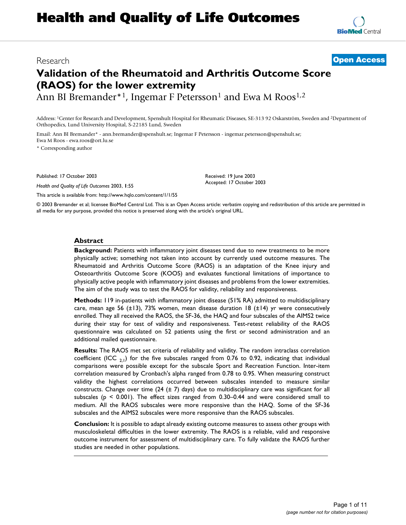# **Validation of the Rheumatoid and Arthritis Outcome Score (RAOS) for the lower extremity**

Ann BI Bremander<sup>\*1</sup>, Ingemar F Petersson<sup>1</sup> and Ewa M Roos<sup>1,2</sup>

Address: 1Center for Research and Development, Spenshult Hospital for Rheumatic Diseases, SE-313 92 Oskarström, Sweden and 2Department of Orthopedics, Lund University Hospital, S-22185 Lund, Sweden

Email: Ann BI Bremander\* - ann.bremander@spenshult.se; Ingemar F Petersson - ingemar.petersson@spenshult.se; Ewa M Roos - ewa.roos@ort.lu.se

\* Corresponding author

Published: 17 October 2003

*Health and Quality of Life Outcomes* 2003, **1**:55

[This article is available from: http://www.hqlo.com/content/1/1/55](http://www.hqlo.com/content/1/1/55)

© 2003 Bremander et al; licensee BioMed Central Ltd. This is an Open Access article: verbatim copying and redistribution of this article are permitted in all media for any purpose, provided this notice is preserved along with the article's original URL.

#### **Abstract**

**Background:** Patients with inflammatory joint diseases tend due to new treatments to be more physically active; something not taken into account by currently used outcome measures. The Rheumatoid and Arthritis Outcome Score (RAOS) is an adaptation of the Knee injury and Osteoarthritis Outcome Score (KOOS) and evaluates functional limitations of importance to physically active people with inflammatory joint diseases and problems from the lower extremities. The aim of the study was to test the RAOS for validity, reliability and responsiveness.

**Methods:** 119 in-patients with inflammatory joint disease (51% RA) admitted to multidisciplinary care, mean age 56 ( $\pm$ 13), 73% women, mean disease duration 18 ( $\pm$ 14) yr were consecutively enrolled. They all received the RAOS, the SF-36, the HAQ and four subscales of the AIMS2 twice during their stay for test of validity and responsiveness. Test-retest reliability of the RAOS questionnaire was calculated on 52 patients using the first or second administration and an additional mailed questionnaire.

**Results:** The RAOS met set criteria of reliability and validity. The random intraclass correlation coefficient (ICC  $_{21}$ ) for the five subscales ranged from 0.76 to 0.92, indicating that individual comparisons were possible except for the subscale Sport and Recreation Function. Inter-item correlation measured by Cronbach's alpha ranged from 0.78 to 0.95. When measuring construct validity the highest correlations occurred between subscales intended to measure similar constructs. Change over time  $(24 (\pm 7)$  days) due to multidisciplinary care was significant for all subscales ( $p \le 0.001$ ). The effect sizes ranged from 0.30–0.44 and were considered small to medium. All the RAOS subscales were more responsive than the HAQ. Some of the SF-36 subscales and the AIMS2 subscales were more responsive than the RAOS subscales.

**Conclusion:** It is possible to adapt already existing outcome measures to assess other groups with musculoskeletal difficulties in the lower extremity. The RAOS is a reliable, valid and responsive outcome instrument for assessment of multidisciplinary care. To fully validate the RAOS further studies are needed in other populations.



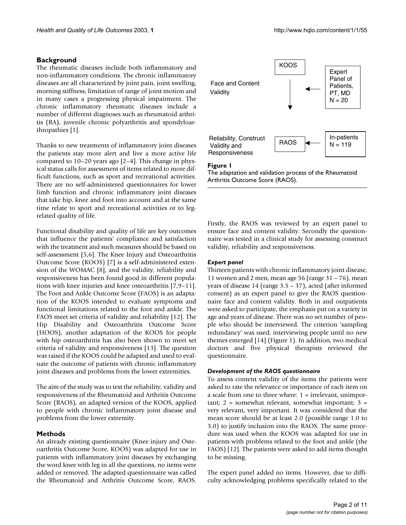## **Background**

The rheumatic diseases include both inflammatory and non-inflammatory conditions. The chronic inflammatory diseases are all characterized by joint pain, joint swelling, morning stiffness, limitation of range of joint motion and in many cases a progressing physical impairment. The chronic inflammatory rheumatic diseases include a number of different diagnoses such as rheumatoid arthritis (RA), juvenile chronic polyarthritis and spondyloarthropathies [1].

Thanks to new treatments of inflammatory joint diseases the patients stay more alert and live a more active life compared to 10–20 years ago [2–4]. This change in physical status calls for assessment of items related to more difficult functions, such as sport and recreational activities. There are no self-administered questionnaires for lower limb function and chronic inflammatory joint diseases that take hip, knee and foot into account and at the same time relate to sport and recreational activities or to legrelated quality of life.

Functional disability and quality of life are key outcomes that influence the patients' compliance and satisfaction with the treatment and such measures should be based on self-assessment [5,6]. The Knee Injury and Osteoarthritis Outcome Score (KOOS) [7] is a self-administered extension of the WOMAC [8], and the validity, reliability and responsiveness has been found good in different populations with knee injuries and knee osteoarthritis [7,9–11]. The Foot and Ankle Outcome Score (FAOS) is an adaptation of the KOOS intended to evaluate symptoms and functional limitations related to the foot and ankle. The FAOS meet set criteria of validity and reliability [12]. The Hip Disability and Osteoarthritis Outcome Score (HOOS), another adaptation of the KOOS for people with hip osteoarthritis has also been shown to meet set criteria of validity and responsiveness [13]. The question was raised if the KOOS could be adapted and used to evaluate the outcome of patients with chronic inflammatory joint diseases and problems from the lower extremities.

The aim of the study was to test the reliability, validity and responsiveness of the Rheumatoid and Arthritis Outcome Score (RAOS), an adapted version of the KOOS, applied to people with chronic inflammatory joint disease and problems from the lower extremity.

# **Methods**

An already existing questionnaire (Knee injury and Osteoarthritis Outcome Score, KOOS) was adapted for use in patients with inflammatory joint diseases by exchanging the word knee with leg in all the questions, no items were added or removed. The adapted questionnaire was called the Rheumatoid and Arthritis Outcome Score, RAOS.



#### Figure 1

The adaptation and validation process of the Rheumatoid Arthritis Outcome Score (RAOS).

Firstly, the RAOS was reviewed by an expert panel to ensure face and content validity. Secondly the questionnaire was tested in a clinical study for assessing construct validity, reliability and responsiveness.

### *Expert panel*

Thirteen patients with chronic inflammatory joint disease, 11 women and 2 men, mean age 56 (range 31 – 76), mean years of disease 14 (range 3.5 – 37), acted (after informed consent) as an expert panel to give the RAOS questionnaire face and content validity. Both in and outpatients were asked to participate, the emphasis put on a variety in age and years of disease. There was no set number of people who should be interviewed. The criterion 'sampling redundancy' was used; interviewing people until no new themes emerged [14] (Figure 1). In addition, two medical doctors and five physical therapists reviewed the questionnaire.

### *Development of the RAOS questionnaire*

To assess content validity of the items the patients were asked to rate the relevance or importance of each item on a scale from one to three where: 1 = irrelevant, unimportant;  $2 =$  somewhat relevant, somewhat important;  $3 =$ very relevant, very important. It was considered that the mean score should be at least 2.0 (possible range 1.0 to 3.0) to justify inclusion into the RAOS. The same procedure was used when the KOOS was adapted for use in patients with problems related to the foot and ankle (the FAOS) [12]. The patients were asked to add items thought to be missing.

The expert panel added no items. However, due to difficulty acknowledging problems specifically related to the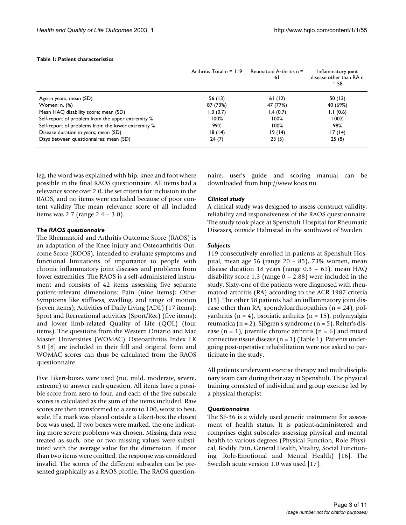#### <span id="page-2-0"></span>**Table 1: Patient characteristics**

|                                                    | Arthritis Total $n = 119$ | Reumatoid Arthritis $n =$<br>6 I | Inflammatory joint<br>disease other than RA n<br>$= 58$ |
|----------------------------------------------------|---------------------------|----------------------------------|---------------------------------------------------------|
| Age in years; mean (SD)                            | 56 (13)                   | 61(12)                           | 50(13)                                                  |
| Women; n, (%)                                      | 87 (73%)                  | 47 (77%)                         | 40 (69%)                                                |
| Mean HAQ disability score; mean (SD)               | 1.3(0.7)                  | 1.4(0.7)                         | 1.1(0.6)                                                |
| Self-report of problem from the upper extremity %  | 100%                      | 100%                             | 100%                                                    |
| Self-report of problems from the lower extremity % | 99%                       | $100\%$                          | 98%                                                     |
| Disease duration in years; mean (SD)               | 18(14)                    | 19(14)                           | 17(14)                                                  |
| Days between questionnaires; mean (SD)             | 24(7)                     | 23(5)                            | 25(8)                                                   |

leg, the word was explained with hip, knee and foot where possible in the final RAOS questionnaire. All items had a relevance score over 2.0, the set criteria for inclusion in the RAOS, and no items were excluded because of poor content validity The mean relevance score of all included items was 2.7 (range 2.4 – 3.0).

#### *The RAOS questionnaire*

The Rheumatoid and Arthritis Outcome Score (RAOS) is an adaptation of the Knee injury and Osteoarthritis Outcome Score (KOOS), intended to evaluate symptoms and functional limitations of importance to people with chronic inflammatory joint diseases and problems from lower extremities. The RAOS is a self-administered instrument and consists of 42 items assessing five separate patient-relevant dimensions: Pain (nine items); Other Symptoms like stiffness, swelling, and range of motion (seven items); Activities of Daily Living (ADL) (17 items); Sport and Recreational activities (Sport/Rec) (five items); and lower limb-related Quality of Life (QOL) (four items). The questions from the Western Ontario and Mac Master Universities (WOMAC) Osteoarthritis Index LK 3.0 [8] are included in their full and original form and WOMAC scores can thus be calculated from the RAOS questionnaire.

Five Likert-boxes were used (no, mild, moderate, severe, extreme) to answer each question. All items have a possible score from zero to four, and each of the five subscale scores is calculated as the sum of the items included. Raw scores are then transformed to a zero to 100, worst to best, scale. If a mark was placed outside a Likert-box the closest box was used. If two boxes were marked, the one indicating more severe problems was chosen. Missing data were treated as such; one or two missing values were substituted with the average value for the dimension. If more than two items were omitted, the response was considered invalid. The scores of the different subscales can be presented graphically as a RAOS profile. The RAOS questionnaire, user's guide and scoring manual can be downloaded from <http://www.koos.nu>.

### *Clinical study*

A clinical study was designed to assess construct validity, reliability and responsiveness of the RAOS questionnaire. The study took place at Spenshult Hospital for Rheumatic Diseases, outside Halmstad in the southwest of Sweden.

#### *Subjects*

119 consecutively enrolled in-patients at Spenshult Hospital, mean age 56 (range 20 – 85), 73% women, mean disease duration 18 years (range 0.3 – 61), mean HAQ disability score 1.3 (range 0 – 2.88) were included in the study. Sixty-one of the patients were diagnosed with rheumatoid arthritis (RA) according to the ACR 1987 criteria [15]. The other 58 patients had an inflammatory joint disease other than RA; spondyloarthropathies  $(n = 24)$ , polyarthritis ( $n = 4$ ), psoriatic arthritis ( $n = 15$ ), polymyalgia reumatica (n = 2), Sjögren's syndrome (n = 5), Reiter's disease  $(n = 1)$ , juvenile chronic arthritis  $(n = 6)$  and mixed connective tissue disease  $(n = 1)$  $(n = 1)$  $(n = 1)$  (Table 1). Patients undergoing post-operative rehabilitation were not asked to participate in the study.

All patients underwent exercise therapy and multidisciplinary team care during their stay at Spenshult. The physical training consisted of individual and group exercise led by a physical therapist.

#### *Questionnaires*

The SF-36 is a widely used generic instrument for assessment of health status. It is patient-administered and comprises eight subscales assessing physical and mental health to various degrees (Physical Function, Role-Physical, Bodily Pain, General Health, Vitality, Social Functioning, Role-Emotional and Mental Health) [16]. The Swedish acute version 1.0 was used [17].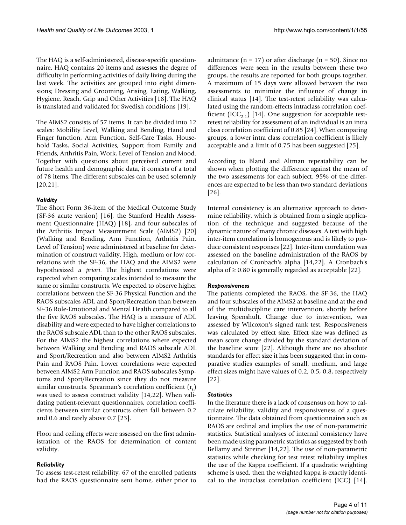The HAQ is a self-administered, disease-specific questionnaire. HAQ contains 20 items and assesses the degree of difficulty in performing activities of daily living during the last week. The activities are grouped into eight dimensions; Dressing and Grooming, Arising, Eating, Walking, Hygiene, Reach, Grip and Other Activities [18]. The HAQ is translated and validated for Swedish conditions [19].

The AIMS2 consists of 57 items. It can be divided into 12 scales: Mobility Level, Walking and Bending, Hand and Finger function, Arm Function, Self-Care Tasks, Household Tasks, Social Activities, Support from Family and Friends, Arthritis Pain, Work, Level of Tension and Mood. Together with questions about perceived current and future health and demographic data, it consists of a total of 78 items. The different subscales can be used solemnly [20,21].

### *Validity*

The Short Form 36-item of the Medical Outcome Study (SF-36 acute version) [16], the Stanford Health Assessment Questionnaire (HAQ) [18], and four subscales of the Arthritis Impact Measurement Scale (AIMS2) [20] (Walking and Bending, Arm Function, Arthritis Pain, Level of Tension) were administered at baseline for determination of construct validity. High, medium or low correlations with the SF-36, the HAQ and the AIMS2 were hypothesized *a priori*. The highest correlations were expected when comparing scales intended to measure the same or similar constructs. We expected to observe higher correlations between the SF-36 Physical Function and the RAOS subscales ADL and Sport/Recreation than between SF-36 Role-Emotional and Mental Health compared to all the five RAOS subscales. The HAQ is a measure of ADL disability and were expected to have higher correlations to the RAOS subscale ADL than to the other RAOS subscales. For the AIMS2 the highest correlations where expected between Walking and Bending and RAOS subscale ADL and Sport/Recreation and also between AIMS2 Arthritis Pain and RAOS Pain. Lower correlations were expected between AIMS2 Arm Function and RAOS subscales Symptoms and Sport/Recreation since they do not measure similar constructs. Spearman's correlation coefficient  $(r_s)$ was used to assess construct validity [14,22]. When validating patient-relevant questionnaires, correlation coefficients between similar constructs often fall between 0.2 and 0.6 and rarely above 0.7 [23].

Floor and ceiling effects were assessed on the first administration of the RAOS for determination of content validity.

#### *Reliability*

To assess test-retest reliability, 67 of the enrolled patients had the RAOS questionnaire sent home, either prior to

admittance ( $n = 17$ ) or after discharge ( $n = 50$ ). Since no differences were seen in the results between these two groups, the results are reported for both groups together. A maximum of 15 days were allowed between the two assessments to minimize the influence of change in clinical status [14]. The test-retest reliability was calculated using the random-effects intraclass correlation coefficient (ICC<sub>2.1</sub>) [14]. One suggestion for acceptable testretest reliability for assessment of an individual is an intra class correlation coefficient of 0.85 [24]. When comparing groups, a lower intra class correlation coefficient is likely acceptable and a limit of 0.75 has been suggested [25].

According to Bland and Altman repeatability can be shown when plotting the difference against the mean of the two assessments for each subject. 95% of the differences are expected to be less than two standard deviations [26].

Internal consistency is an alternative approach to determine reliability, which is obtained from a single application of the technique and suggested because of the dynamic nature of many chronic diseases. A test with high inter-item correlation is homogenous and is likely to produce consistent responses [22]. Inter-item correlation was assessed on the baseline administration of the RAOS by calculation of Cronbach's alpha [14,22]. A Cronbach's alpha of  $\geq$  0.80 is generally regarded as acceptable [22].

#### *Responsiveness*

The patients completed the RAOS, the SF-36, the HAQ and four subscales of the AIMS2 at baseline and at the end of the multidiscipline care intervention, shortly before leaving Spenshult. Change due to intervention, was assessed by Wilcoxon's signed rank test. Responsiveness was calculated by effect size. Effect size was defined as mean score change divided by the standard deviation of the baseline score [22]. Although there are no absolute standards for effect size it has been suggested that in comparative studies examples of small, medium, and large effect sizes might have values of 0.2, 0.5, 0.8, respectively [22].

#### *Statistics*

In the literature there is a lack of consensus on how to calculate reliability, validity and responsiveness of a questionnaire. The data obtained from questionnaires such as RAOS are ordinal and implies the use of non-parametric statistics. Statistical analyses of internal consistency have been made using parametric statistics as suggested by both Bellamy and Streiner [14,22]. The use of non-parametric statistics while checking for test retest reliability implies the use of the Kappa coefficient. If a quadratic weighting scheme is used, then the weighted kappa is exactly identical to the intraclass correlation coefficient (ICC) [14].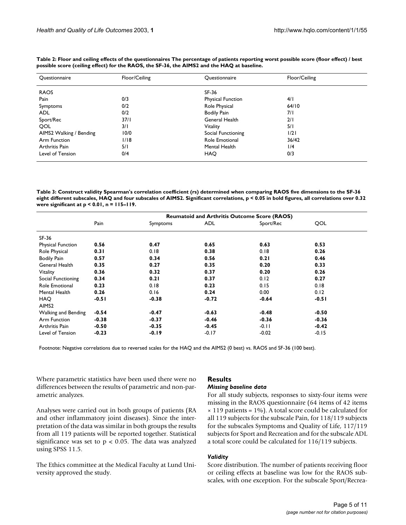| Questionnaire           | Floor/Ceiling | Questionnaire            | Floor/Ceiling |  |
|-------------------------|---------------|--------------------------|---------------|--|
| <b>RAOS</b>             |               | SF-36                    |               |  |
| Pain                    | 0/3           | <b>Physical Function</b> | 4/1           |  |
| Symptoms                | 0/2           | Role Physical            | 64/10         |  |
| <b>ADL</b>              | 0/2           | <b>Bodily Pain</b>       | 7/1           |  |
| Sport/Rec               | 37/1          | General Health           | 2/1           |  |
| <b>OOL</b>              | 3/1           | Vitality                 | 5/1           |  |
| AIMS2 Walking / Bending | 10/0          | Social Functioning       | 1/2           |  |
| Arm Function            | 1/18          | Role Emotional           | 36/42         |  |
| Arthritis Pain          | 5/1           | Mental Health            | 1/4           |  |
| Level of Tension        | 0/4           | <b>HAO</b>               | 0/3           |  |

<span id="page-4-0"></span>**Table 2: Floor and ceiling effects of the questionnaires The percentage of patients reporting worst possible score (floor effect) / best possible score (ceiling effect) for the RAOS, the SF-36, the AIMS2 and the HAQ at baseline.**

<span id="page-4-1"></span>**Table 3: Construct validity Spearman's correlation coefficient (rs) determined when comparing RAOS five dimensions to the SF-36 eight different subscales, HAQ and four subscales of AIMS2. Significant correlations, p < 0.05 in bold figures, all correlations over 0.32 were significant at p < 0.01, n = 115–119.**

|                            | <b>Reumatoid and Arthritis Outcome Score (RAOS)</b> |          |         |           |         |
|----------------------------|-----------------------------------------------------|----------|---------|-----------|---------|
|                            | Pain                                                | Symptoms | ADL     | Sport/Rec | OOL     |
| SF-36                      |                                                     |          |         |           |         |
| Physical Function          | 0.56                                                | 0.47     | 0.65    | 0.63      | 0.53    |
| Role Physical              | 0.31                                                | 0.18     | 0.38    | 0.18      | 0.26    |
| <b>Bodily Pain</b>         | 0.57                                                | 0.34     | 0.56    | 0.21      | 0.46    |
| General Health             | 0.35                                                | 0.27     | 0.35    | 0.20      | 0.33    |
| Vitality                   | 0.36                                                | 0.32     | 0.37    | 0.20      | 0.26    |
| Social Functioning         | 0.34                                                | 0.21     | 0.37    | 0.12      | 0.27    |
| Role Emotional             | 0.23                                                | 0.18     | 0.23    | 0.15      | 0.18    |
| Mental Health              | 0.26                                                | 0.16     | 0.24    | 0.00      | 0.12    |
| <b>HAO</b>                 | $-0.51$                                             | $-0.38$  | $-0.72$ | $-0.64$   | $-0.51$ |
| AIMS <sub>2</sub>          |                                                     |          |         |           |         |
| <b>Walking and Bending</b> | $-0.54$                                             | $-0.47$  | $-0.63$ | $-0.48$   | $-0.50$ |
| Arm Function               | $-0.38$                                             | $-0.37$  | $-0.46$ | $-0.36$   | $-0.36$ |
| Arthritis Pain             | $-0.50$                                             | $-0.35$  | $-0.45$ | $-0.11$   | $-0.42$ |
| Level of Tension           | $-0.23$                                             | $-0.19$  | $-0.17$ | $-0.02$   | $-0.15$ |
|                            |                                                     |          |         |           |         |

Footnote: Negative correlations due to reversed scales for the HAQ and the AIMS2 (0 best) vs. RAOS and SF-36 (100 best).

Where parametric statistics have been used there were no differences between the results of parametric and non-parametric analyzes.

Analyses were carried out in both groups of patients (RA and other inflammatory joint diseases). Since the interpretation of the data was similar in both groups the results from all 119 patients will be reported together. Statistical significance was set to  $p < 0.05$ . The data was analyzed using SPSS 11.5.

The Ethics committee at the Medical Faculty at Lund University approved the study.

### **Results**

# *Missing baseline data*

For all study subjects, responses to sixty-four items were missing in the RAOS questionnaire (64 items of 42 items  $\times$  119 patients = 1%). A total score could be calculated for all 119 subjects for the subscale Pain, for 118/119 subjects for the subscales Symptoms and Quality of Life, 117/119 subjects for Sport and Recreation and for the subscale ADL a total score could be calculated for 116/119 subjects.

### *Validity*

Score distribution. The number of patients receiving floor or ceiling effects at baseline was low for the RAOS subscales, with one exception. For the subscale Sport/Recrea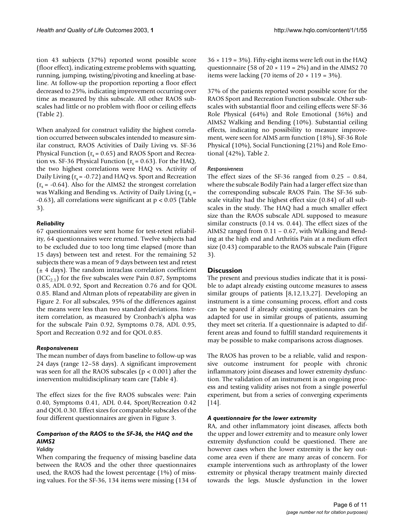tion 43 subjects (37%) reported worst possible score (floor effect), indicating extreme problems with squatting, running, jumping, twisting/pivoting and kneeling at baseline. At follow-up the proportion reporting a floor effect decreased to 25%, indicating improvement occurring over time as measured by this subscale. All other RAOS subscales had little or no problem with floor or ceiling effects (Table [2\)](#page-4-0).

When analyzed for construct validity the highest correlation occurred between subscales intended to measure similar construct, RAOS Activities of Daily Living vs. SF-36 Physical Function ( $r_s$  = 0.65) and RAOS Sport and Recreation vs. SF-36 Physical Function ( $r_s$  = 0.63). For the HAQ, the two highest correlations were HAQ vs. Activity of Daily Living  $(r_s = -0.72)$  and HAQ vs. Sport and Recreation  $(r<sub>s</sub> = -0.64)$ . Also for the AIMS2 the strongest correlation was Walking and Bending vs. Activity of Daily Living  $(r_s =$  $-0.63$ ), all correlations were significant at  $p < 0.05$  (Table [3\)](#page-4-1).

# *Reliability*

67 questionnaires were sent home for test-retest reliability, 64 questionnaires were returned. Twelve subjects had to be excluded due to too long time elapsed (more than 15 days) between test and retest. For the remaining 52 subjects there was a mean of 9 days between test and retest  $(± 4 days)$ . The random intraclass correlation coefficient  $(ICC<sub>2.1</sub>)$  for the five subscales were Pain 0.87, Symptoms 0.85, ADL 0.92, Sport and Recreation 0.76 and for QOL 0.85. Bland and Altman plots of repeatability are given in Figure [2](#page-6-0). For all subscales, 95% of the differences against the means were less than two standard deviations. Interitem correlation, as measured by Cronbach's alpha was for the subscale Pain 0.92, Symptoms 0.78, ADL 0.95, Sport and Recreation 0.92 and for QOL 0.85.

### *Responsiveness*

The mean number of days from baseline to follow-up was 24 days (range 12–58 days). A significant improvement was seen for all the RAOS subscales (p < 0.001) after the intervention multidisciplinary team care (Table [4\)](#page-7-0).

The effect sizes for the five RAOS subscales were: Pain 0.40, Symptoms 0.41, ADL 0.44, Sport/Recreation 0.42 and QOL 0.30. Effect sizes for comparable subscales of the four different questionnaires are given in Figure [3](#page-7-1).

# *Comparison of the RAOS to the SF-36, the HAQ and the AIMS2*

### *Validity*

When comparing the frequency of missing baseline data between the RAOS and the other three questionnaires used, the RAOS had the lowest percentage (1%) of missing values. For the SF-36, 134 items were missing (134 of  $36 \times 119 = 3\%$ ). Fifty-eight items were left out in the HAQ questionnaire (58 of  $20 \times 119 = 2\%$ ) and in the AIMS2 70 items were lacking (70 items of  $20 \times 119 = 3\%$ ).

37% of the patients reported worst possible score for the RAOS Sport and Recreation Function subscale. Other subscales with substantial floor and ceiling effects were SF-36 Role Physical (64%) and Role Emotional (36%) and AIMS2 Walking and Bending (10%). Substantial ceiling effects, indicating no possibility to measure improvement, were seen for AIMS arm function (18%), SF-36 Role Physical (10%), Social Functioning (21%) and Role Emotional (42%), Table [2.](#page-4-0)

### *Responsiveness*

The effect sizes of the SF-36 ranged from 0.25 – 0.84, where the subscale Bodily Pain had a larger effect size than the corresponding subscale RAOS Pain. The SF-36 subscale vitality had the highest effect size (0.84) of all subscales in the study. The HAQ had a much smaller effect size than the RAOS subscale ADL supposed to measure similar constructs (0.14 vs. 0.44). The effect sizes of the AIMS2 ranged from 0.11 – 0.67, with Walking and Bending at the high end and Arthritis Pain at a medium effect size (0.43) comparable to the RAOS subscale Pain (Figure [3](#page-7-1)).

# **Discussion**

The present and previous studies indicate that it is possible to adapt already existing outcome measures to assess similar groups of patients [8,12,13,27]. Developing an instrument is a time consuming process, effort and costs can be spared if already existing questionnaires can be adapted for use in similar groups of patients, assuming they meet set criteria. If a questionnaire is adapted to different areas and found to fulfill standard requirements it may be possible to make comparisons across diagnoses.

The RAOS has proven to be a reliable, valid and responsive outcome instrument for people with chronic inflammatory joint diseases and lower extremity dysfunction. The validation of an instrument is an ongoing process and testing validity arises not from a single powerful experiment, but from a series of converging experiments [14].

### *A questionnaire for the lower extremity*

RA, and other inflammatory joint diseases, affects both the upper and lower extremity and to measure only lower extremity dysfunction could be questioned. There are however cases when the lower extremity is the key outcome area even if there are many areas of concern. For example interventions such as arthroplasty of the lower extremity or physical therapy treatment mainly directed towards the legs. Muscle dysfunction in the lower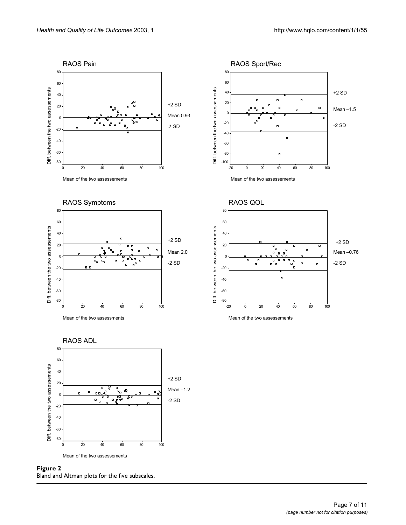<span id="page-6-0"></span>

**Figure 2** Bland and Altman plots for the five subscales.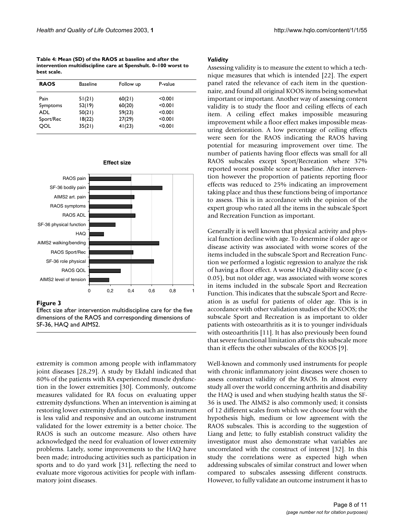<span id="page-7-0"></span>**Table 4: Mean (SD) of the RAOS at baseline and after the intervention multidiscipline care at Spenshult. 0–100 worst to best scale.**

| <b>RAOS</b> | <b>Baseline</b> | Follow up | P-value |  |
|-------------|-----------------|-----------|---------|--|
| Pain        | 51(21)          | 60(21)    | < 0.001 |  |
| Symptoms    | 52(19)          | 60(20)    | < 0.001 |  |
| ADL         | 50(21)          | 59(23)    | < 0.001 |  |
| Sport/Rec   | 18(22)          | 27(29)    | < 0.001 |  |
| OOL         | 35(21)          | 41(23)    | < 0.001 |  |

<span id="page-7-1"></span>

#### Figure 3

Effect size after intervention multidiscipline care for the five dimensions of the RAOS and corresponding dimensions of SF-36, HAQ and AIMS2.

extremity is common among people with inflammatory joint diseases [28,29]. A study by Ekdahl indicated that 80% of the patients with RA experienced muscle dysfunction in the lower extremities [30]. Commonly, outcome measures validated for RA focus on evaluating upper extremity dysfunctions. When an intervention is aiming at restoring lower extremity dysfunction, such an instrument is less valid and responsive and an outcome instrument validated for the lower extremity is a better choice. The RAOS is such an outcome measure. Also others have acknowledged the need for evaluation of lower extremity problems. Lately, some improvements to the HAQ have been made; introducing activities such as participation in sports and to do yard work [31], reflecting the need to evaluate more vigorous activities for people with inflammatory joint diseases.

#### *Validity*

Assessing validity is to measure the extent to which a technique measures that which is intended [22]. The expert panel rated the relevance of each item in the questionnaire, and found all original KOOS items being somewhat important or important. Another way of assessing content validity is to study the floor and ceiling effects of each item. A ceiling effect makes impossible measuring improvement while a floor effect makes impossible measuring deterioration. A low percentage of ceiling effects were seen for the RAOS indicating the RAOS having potential for measuring improvement over time. The number of patients having floor effects was small for all RAOS subscales except Sport/Recreation where 37% reported worst possible score at baseline. After intervention however the proportion of patients reporting floor effects was reduced to 25% indicating an improvement taking place and thus these functions being of importance to assess. This is in accordance with the opinion of the expert group who rated all the items in the subscale Sport and Recreation Function as important.

Generally it is well known that physical activity and physical function decline with age. To determine if older age or disease activity was associated with worse scores of the items included in the subscale Sport and Recreation Function we performed a logistic regression to analyze the risk of having a floor effect. A worse HAQ disability score (p < 0.05), but not older age, was associated with worse scores in items included in the subscale Sport and Recreation Function. This indicates that the subscale Sport and Recreation is as useful for patients of older age. This is in accordance with other validation studies of the KOOS; the subscale Sport and Recreation is as important to older patients with osteoarthritis as it is to younger individuals with osteoarthritis [11]. It has also previously been found that severe functional limitation affects this subscale more than it effects the other subscales of the KOOS [9].

Well-known and commonly used instruments for people with chronic inflammatory joint diseases were chosen to assess construct validity of the RAOS. In almost every study all over the world concerning arthritis and disability the HAQ is used and when studying health status the SF-36 is used. The AIMS2 is also commonly used; it consists of 12 different scales from which we choose four with the hypothesis high, medium or low agreement with the RAOS subscales. This is according to the suggestion of Liang and Jette; to fully establish construct validity the investigator must also demonstrate what variables are uncorrelated with the construct of interest [32]. In this study the correlations were as expected high when addressing subscales of similar construct and lower when compared to subscales assessing different constructs. However, to fully validate an outcome instrument it has to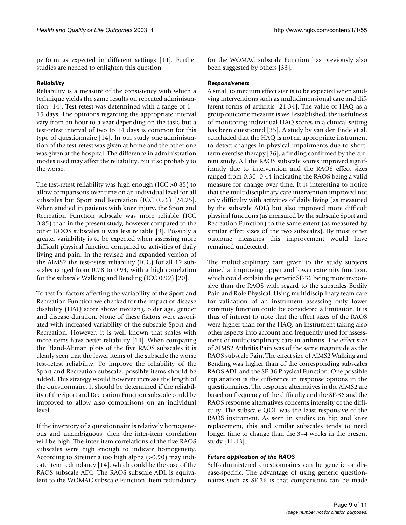perform as expected in different settings [14]. Further studies are needed to enlighten this question.

# *Reliability*

Reliability is a measure of the consistency with which a technique yields the same results on repeated administration [14]. Test-retest was determined with a range of 1 – 15 days. The opinions regarding the appropriate interval vary from an hour to a year depending on the task, but a test-retest interval of two to 14 days is common for this type of questionnaire [14]. In our study one administration of the test-retest was given at home and the other one was given at the hospital. The difference in administration modes used may affect the reliability, but if so probably to the worse.

The test-retest reliability was high enough (ICC >0.85) to allow comparisons over time on an individual level for all subscales but Sport and Recreation (ICC 0.76) [24,25]. When studied in patients with knee injury, the Sport and Recreation Function subscale was more reliable (ICC 0.85) than in the present study, however compared to the other KOOS subscales it was less reliable [9]. Possibly a greater variability is to be expected when assessing more difficult physical function compared to activities of daily living and pain. In the revised and expanded version of the AIMS2 the test-retest reliability (ICC) for all 12 subscales ranged from 0.78 to 0.94, with a high correlation for the subscale Walking and Bending (ICC 0.92) [20].

To test for factors affecting the variability of the Sport and Recreation Function we checked for the impact of disease disability (HAQ score above median), older age, gender and disease duration. None of these factors were associated with increased variability of the subscale Sport and Recreation. However, it is well known that scales with more items have better reliability [14]. When comparing the Bland-Altman plots of the five RAOS subscales it is clearly seen that the fewer items of the subscale the worse test-retest reliability. To improve the reliability of the Sport and Recreation subscale, possibly items should be added. This strategy would however increase the length of the questionnaire. It should be determined if the reliability of the Sport and Recreation Function subscale could be improved to allow also comparisons on an individual level.

If the inventory of a questionnaire is relatively homogeneous and unambiguous, then the inter-item correlation will be high. The inter-item correlations of the five RAOS subscales were high enough to indicate homogeneity. According to Streiner a too high alpha (>0.90) may indicate item redundancy [14], which could be the case of the RAOS subscale ADL. The RAOS subscale ADL is equivalent to the WOMAC subscale Function. Item redundancy for the WOMAC subscale Function has previously also been suggested by others [33].

# *Responsiveness*

A small to medium effect size is to be expected when studying interventions such as multidimensional care and different forms of arthritis [21,34]. The value of HAQ as a group outcome measure is well established, the usefulness of monitoring individual HAQ scores in a clinical setting has been questioned [35]. A study by van den Ende et al. concluded that the HAQ is not an appropriate instrument to detect changes in physical impairments due to shortterm exercise therapy [36], a finding confirmed by the current study. All the RAOS subscale scores improved significantly due to intervention and the RAOS effect sizes ranged from 0.30–0.44 indicating the RAOS being a valid measure for change over time. It is interesting to notice that the multidisciplinary care intervention improved not only difficulty with activities of daily living (as measured by the subscale ADL) but also improved more difficult physical functions (as measured by the subscale Sport and Recreation Function) to the same extent (as measured by similar effect sizes of the two subscales). By most other outcome measures this improvement would have remained undetected.

The multidisciplinary care given to the study subjects aimed at improving upper and lower extremity function, which could explain the generic SF-36 being more responsive than the RAOS with regard to the subscales Bodily Pain and Role Physical. Using multidisciplinary team care for validation of an instrument assessing only lower extremity function could be considered a limitation. It is thus of interest to note that the effect sizes of the RAOS were higher than for the HAQ, an instrument taking also other aspects into account and frequently used for assessment of multidisciplinary care in arthritis. The effect size of AIMS2 Arthritis Pain was of the same magnitude as the RAOS subscale Pain. The effect size of AIMS2 Walking and Bending was higher than of the corresponding subscales RAOS ADL and the SF-36 Physical Function. One possible explanation is the difference in response options in the questionnaires. The response alternatives in the AIMS2 are based on frequency of the difficulty and the SF-36 and the RAOS response alternatives concerns intensity of the difficulty. The subscale QOL was the least responsive of the RAOS instrument. As seen in studies on hip and knee replacement, this and similar subscales tends to need longer time to change than the 3–4 weeks in the present study [11,13].

### *Future application of the RAOS*

Self-administered questionnaires can be generic or disease-specific. The advantage of using generic questionnaires such as SF-36 is that comparisons can be made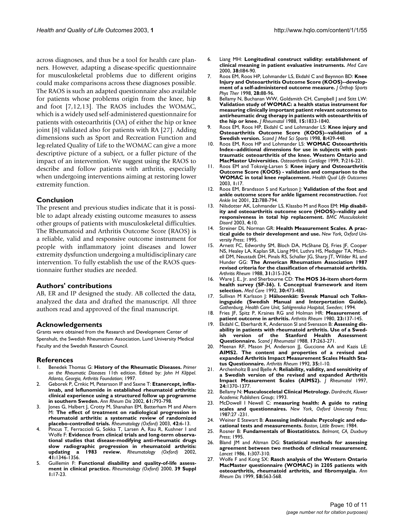across diagnoses, and thus be a tool for health care planners. However, adapting a disease-specific questionnaire for musculoskeletal problems due to different origins could make comparisons across these diagnoses possible. The RAOS is such an adapted questionnaire also available for patients whose problems origin from the knee, hip and foot [7,12,13]. The RAOS includes the WOMAC, which is a widely used self-administered questionnaire for patients with osteoarthritis (OA) of either the hip or knee joint [8] validated also for patients with RA [27]. Adding dimensions such as Sport and Recreation Function and leg-related Quality of Life to the WOMAC can give a more descriptive picture of a subject, or a fuller picture of the impact of an intervention. We suggest using the RAOS to describe and follow patients with arthritis, especially when undergoing interventions aiming at restoring lower extremity function.

# **Conclusion**

The present and previous studies indicate that it is possible to adapt already existing outcome measures to assess other groups of patients with musculoskeletal difficulties. The Rheumatoid and Arthritis Outcome Score (RAOS) is a reliable, valid and responsive outcome instrument for people with inflammatory joint diseases and lower extremity dysfunction undergoing a multidisciplinary care intervention. To fully establish the use of the RAOS questionnaire further studies are needed.

## **Authors' contributions**

AB, ER and IP designed the study. AB collected the data, analyzed the data and drafted the manuscript. All three authors read and approved of the final manuscript.

# **Acknowledgements**

Grants were obtained from the Research and Development Center of Spenshult, the Swedish Rheumatism Association, Lund University Medical Faculty and the Swedish Research Council.

### **References**

- 1. Benedek Thomas G: **History of the Rheumatic Diseases.** *Primer on the Rheumatic Diseases* 11th edition. Edited by: *John H Klippel*. *Atlanta, Georgia, Arthritis Foundation*; 1997.
- 2. Geborek P, Crnkic M, Petersson IF and Saxne T: **[Etanercept, inflix](http://www.ncbi.nlm.nih.gov/entrez/query.fcgi?cmd=Retrieve&db=PubMed&dopt=Abstract&list_uids=10.1136/ard.61.9.793)imab, and leflunomide in established rheumatoid arthritis: [clinical experience using a structured follow up programme](http://www.ncbi.nlm.nih.gov/entrez/query.fcgi?cmd=Retrieve&db=PubMed&dopt=Abstract&list_uids=10.1136/ard.61.9.793) [in southern Sweden](http://www.ncbi.nlm.nih.gov/entrez/query.fcgi?cmd=Retrieve&db=PubMed&dopt=Abstract&list_uids=10.1136/ard.61.9.793)[.](http://www.ncbi.nlm.nih.gov/entrez/query.fcgi?cmd=Retrieve&db=PubMed&dopt=Abstract&list_uids=12176803)** *Ann Rheum Dis* 2002, **61:**793-798.
- 3. Jones G, Halbert J, Crotty M, Shanahan EM, Batterham M and Ahern M: **[The effect of treatment on radiological progression in](http://www.ncbi.nlm.nih.gov/entrez/query.fcgi?cmd=Retrieve&db=PubMed&dopt=Abstract&list_uids=10.1093/rheumatology/keg036) [rheumatoid arthritis: a systematic review of randomized](http://www.ncbi.nlm.nih.gov/entrez/query.fcgi?cmd=Retrieve&db=PubMed&dopt=Abstract&list_uids=10.1093/rheumatology/keg036) [placebo-controlled trials](http://www.ncbi.nlm.nih.gov/entrez/query.fcgi?cmd=Retrieve&db=PubMed&dopt=Abstract&list_uids=10.1093/rheumatology/keg036)[.](http://www.ncbi.nlm.nih.gov/entrez/query.fcgi?cmd=Retrieve&db=PubMed&dopt=Abstract&list_uids=12509606)** *Rheumatology (Oxford)* 2003, **42:**6-13.
- 4. Pincus T, Ferraccioli G, Sokka T, Larsen A, Rau R, Kushner I and Wolfe F: **[Evidence from clinical trials and long-term observa](http://www.ncbi.nlm.nih.gov/entrez/query.fcgi?cmd=Retrieve&db=PubMed&dopt=Abstract&list_uids=10.1093/rheumatology/41.12.1346)[tional studies that disease-modifying anti-rheumatic drugs](http://www.ncbi.nlm.nih.gov/entrez/query.fcgi?cmd=Retrieve&db=PubMed&dopt=Abstract&list_uids=10.1093/rheumatology/41.12.1346) slow radiographic progression in rheumatoid arthritis: [updating a 1983 review](http://www.ncbi.nlm.nih.gov/entrez/query.fcgi?cmd=Retrieve&db=PubMed&dopt=Abstract&list_uids=10.1093/rheumatology/41.12.1346)[.](http://www.ncbi.nlm.nih.gov/entrez/query.fcgi?cmd=Retrieve&db=PubMed&dopt=Abstract&list_uids=12468813)** *Rheumatology (Oxford)* 2002, **41:**1346-1356.
- 5. Guillemin F: **[Functional disability and quality-of-life assess](http://www.ncbi.nlm.nih.gov/entrez/query.fcgi?cmd=Retrieve&db=PubMed&dopt=Abstract&list_uids=11001375)[ment in clinical practice.](http://www.ncbi.nlm.nih.gov/entrez/query.fcgi?cmd=Retrieve&db=PubMed&dopt=Abstract&list_uids=11001375)** *Rheumatology (Oxford)* 2000, **39 Suppl 1:**17-23.
- 6. Liang MH: **[Longitudinal construct validity: establishment of](http://www.ncbi.nlm.nih.gov/entrez/query.fcgi?cmd=Retrieve&db=PubMed&dopt=Abstract&list_uids=10.1097/00005650-200009002-00013) [clinical meaning in patient evaluative instruments](http://www.ncbi.nlm.nih.gov/entrez/query.fcgi?cmd=Retrieve&db=PubMed&dopt=Abstract&list_uids=10.1097/00005650-200009002-00013)[.](http://www.ncbi.nlm.nih.gov/entrez/query.fcgi?cmd=Retrieve&db=PubMed&dopt=Abstract&list_uids=10982093)** *Med Care* 2000, **38:**II84-90.
- 7. Roos EM, Roos HP, Lohmander LS, Ekdahl C and Beynnon BD: **[Knee](http://www.ncbi.nlm.nih.gov/entrez/query.fcgi?cmd=Retrieve&db=PubMed&dopt=Abstract&list_uids=9699158) [Injury and Osteoarthritis Outcome Score \(KOOS\)--develop](http://www.ncbi.nlm.nih.gov/entrez/query.fcgi?cmd=Retrieve&db=PubMed&dopt=Abstract&list_uids=9699158)[ment of a self-administered outcome measure.](http://www.ncbi.nlm.nih.gov/entrez/query.fcgi?cmd=Retrieve&db=PubMed&dopt=Abstract&list_uids=9699158)** *J Orthop Sports Phys Ther* 1998, **28:**88-96.
- 8. Bellamy N, Buchanan WW, Goldsmith CH, Campbell J and Stitt LW: **[Validation study of WOMAC: a health status instrument for](http://www.ncbi.nlm.nih.gov/entrez/query.fcgi?cmd=Retrieve&db=PubMed&dopt=Abstract&list_uids=3068365) measuring clinically important patient relevant outcomes to antirheumatic drug therapy in patients with osteoarthritis of [the hip or knee.](http://www.ncbi.nlm.nih.gov/entrez/query.fcgi?cmd=Retrieve&db=PubMed&dopt=Abstract&list_uids=3068365)** *J Rheumatol* 1988, **15:**1833-1840.
- 9. Roos EM, Roos HP, Ekdahl C and Lohmander LS: **[Knee injury and](http://www.ncbi.nlm.nih.gov/entrez/query.fcgi?cmd=Retrieve&db=PubMed&dopt=Abstract&list_uids=9863983) [Osteoarthritis Outcome Score \(KOOS\)--validation of a](http://www.ncbi.nlm.nih.gov/entrez/query.fcgi?cmd=Retrieve&db=PubMed&dopt=Abstract&list_uids=9863983) [Swedish version.](http://www.ncbi.nlm.nih.gov/entrez/query.fcgi?cmd=Retrieve&db=PubMed&dopt=Abstract&list_uids=9863983)** *Scand J Med Sci Sports* 1998, **8:**439-448.
- 10. Roos EM, Roos HP and Lohmander LS: **[WOMAC Osteoarthritis](http://www.ncbi.nlm.nih.gov/entrez/query.fcgi?cmd=Retrieve&db=PubMed&dopt=Abstract&list_uids=10.1053/joca.1998.0153) [Index--additional dimensions for use in subjects with post](http://www.ncbi.nlm.nih.gov/entrez/query.fcgi?cmd=Retrieve&db=PubMed&dopt=Abstract&list_uids=10.1053/joca.1998.0153)traumatic osteoarthritis of the knee. Western Ontario and [MacMaster Universities](http://www.ncbi.nlm.nih.gov/entrez/query.fcgi?cmd=Retrieve&db=PubMed&dopt=Abstract&list_uids=10.1053/joca.1998.0153)[.](http://www.ncbi.nlm.nih.gov/entrez/query.fcgi?cmd=Retrieve&db=PubMed&dopt=Abstract&list_uids=10222220)** *Osteoarthritis Cartilage* 1999, **7:**216-221.
- 11. Roos EM and Toksvig-Larsen S: **[Knee injury and Osteoarthritis](http://www.ncbi.nlm.nih.gov/entrez/query.fcgi?cmd=Retrieve&db=PubMed&dopt=Abstract&list_uids=161802) [Outcome Score \(KOOS\) - validation and comparison to the](http://www.ncbi.nlm.nih.gov/entrez/query.fcgi?cmd=Retrieve&db=PubMed&dopt=Abstract&list_uids=161802) [WOMAC in total knee replacement](http://www.ncbi.nlm.nih.gov/entrez/query.fcgi?cmd=Retrieve&db=PubMed&dopt=Abstract&list_uids=161802)[.](http://www.ncbi.nlm.nih.gov/entrez/query.fcgi?cmd=Retrieve&db=PubMed&dopt=Abstract&list_uids=10.1186/1477-7525-1-17)** *Health Qual Life Outcomes* 2003, **1:**17.
- 12. Roos EM, Brandsson S and Karlsson J: **[Validation of the foot and](http://www.ncbi.nlm.nih.gov/entrez/query.fcgi?cmd=Retrieve&db=PubMed&dopt=Abstract&list_uids=11642530) [ankle outcome score for ankle ligament reconstruction.](http://www.ncbi.nlm.nih.gov/entrez/query.fcgi?cmd=Retrieve&db=PubMed&dopt=Abstract&list_uids=11642530)** *Foot Ankle Int* 2001, **22:**788-794.
- 13. Nilsdotter AK, Lohmander LS, Klassbo M and Roos EM: **[Hip disabil](http://www.ncbi.nlm.nih.gov/entrez/query.fcgi?cmd=Retrieve&db=PubMed&dopt=Abstract&list_uids=161815)[ity and osteoarthritis outcome score \(HOOS\)--validity and](http://www.ncbi.nlm.nih.gov/entrez/query.fcgi?cmd=Retrieve&db=PubMed&dopt=Abstract&list_uids=161815) [responsiveness in total hip replacement](http://www.ncbi.nlm.nih.gov/entrez/query.fcgi?cmd=Retrieve&db=PubMed&dopt=Abstract&list_uids=161815)[.](http://www.ncbi.nlm.nih.gov/entrez/query.fcgi?cmd=Retrieve&db=PubMed&dopt=Abstract&list_uids=10.1186/1471-2474-4-10)** *BMC Musculoskelet Disord* 2003, **4:**10.
- 14. Streiner DL Norman GR: **Health Measurement Scales. A practical guide to their development and use.** *New York, Oxford University Press*; 1995.
- 15. Arnett FC, Edworthy SM, Bloch DA, McShane DJ, Fries JF, Cooper NS, Healey LA, Kaplan SR, Liang MH, Luthra HS, Medsger TA, Mitchell DM, Neustadt DH, Pinals RS, Schaller JG, Sharp JT, Wilder RL and Hunder GG: **[The American Rheumatism Association 1987](http://www.ncbi.nlm.nih.gov/entrez/query.fcgi?cmd=Retrieve&db=PubMed&dopt=Abstract&list_uids=3358796) [revised criteria for the classification of rheumatoid arthritis.](http://www.ncbi.nlm.nih.gov/entrez/query.fcgi?cmd=Retrieve&db=PubMed&dopt=Abstract&list_uids=3358796)** *Arthritis Rheum* 1988, **31:**315-324.
- 16. Ware J. E., Jr. and Sherbourne CD: **[The MOS 36-item short-form](http://www.ncbi.nlm.nih.gov/entrez/query.fcgi?cmd=Retrieve&db=PubMed&dopt=Abstract&list_uids=1593914) [health survey \(SF-36\). I. Conceptual framework and item](http://www.ncbi.nlm.nih.gov/entrez/query.fcgi?cmd=Retrieve&db=PubMed&dopt=Abstract&list_uids=1593914) [selection.](http://www.ncbi.nlm.nih.gov/entrez/query.fcgi?cmd=Retrieve&db=PubMed&dopt=Abstract&list_uids=1593914)** *Med Care* 1992, **30:**473-483.
- 17. Sullivan M Karlsson |: Hälsoenkät: Svensk Manual och Tolkn**ingsguide (Swedish Manual and Interpertation Guide).** *Gothenburg, Health Care Unit, Sahlgrenska Hospital, Sweden*; 1994.
- 18. Fries JF, Spitz P, Kraines RG and Holman HR: **[Measurement of](http://www.ncbi.nlm.nih.gov/entrez/query.fcgi?cmd=Retrieve&db=PubMed&dopt=Abstract&list_uids=7362664) [patient outcome in arthritis.](http://www.ncbi.nlm.nih.gov/entrez/query.fcgi?cmd=Retrieve&db=PubMed&dopt=Abstract&list_uids=7362664)** *Arthritis Rheum* 1980, **23:**137-145.
- 19. Ekdahl C, Eberhardt K, Andersson SI and Svensson B: **[Assessing dis](http://www.ncbi.nlm.nih.gov/entrez/query.fcgi?cmd=Retrieve&db=PubMed&dopt=Abstract&list_uids=3187457)ability in patients with rheumatoid arthritis. Use of a Swed[ish version of the Stanford Health Assessment](http://www.ncbi.nlm.nih.gov/entrez/query.fcgi?cmd=Retrieve&db=PubMed&dopt=Abstract&list_uids=3187457) [Questionnaire.](http://www.ncbi.nlm.nih.gov/entrez/query.fcgi?cmd=Retrieve&db=PubMed&dopt=Abstract&list_uids=3187457)** *Scand J Rheumatol* 1988, **17:**263-271.
- 20. Meenan RF, Mason JH, Anderson JJ, Guccione AA and Kazis LE: **[AIMS2. The content and properties of a revised and](http://www.ncbi.nlm.nih.gov/entrez/query.fcgi?cmd=Retrieve&db=PubMed&dopt=Abstract&list_uids=1731806) expanded Arthritis Impact Measurement Scales Health Sta[tus Questionnaire.](http://www.ncbi.nlm.nih.gov/entrez/query.fcgi?cmd=Retrieve&db=PubMed&dopt=Abstract&list_uids=1731806)** *Arthritis Rheum* 1992, **35:**1-10.
- 21. Archenholtz B and Bjelle A: **[Reliability, validity, and sensitivity of](http://www.ncbi.nlm.nih.gov/entrez/query.fcgi?cmd=Retrieve&db=PubMed&dopt=Abstract&list_uids=9228139) [a Swedish version of the revised and expanded Arthritis](http://www.ncbi.nlm.nih.gov/entrez/query.fcgi?cmd=Retrieve&db=PubMed&dopt=Abstract&list_uids=9228139) [Impact Measurement Scales \(AIMS2\).](http://www.ncbi.nlm.nih.gov/entrez/query.fcgi?cmd=Retrieve&db=PubMed&dopt=Abstract&list_uids=9228139)** *J Rheumatol* 1997, **24:**1370-1377.
- 22. Bellamy N: **Musculosceletal Clinical Metrology.** *Dordrecht, Kluwer Academic Publishers Group*; 1993.
- 23. McDowell I Newell C: **measuring health: A guide to rating scales and questionnaires.** *New York, Oxford University Press*; 1987:27 -231.
- 24. Weiner E Stewart B: **Assessing individuals: Psycologic and educational tests and measurements.** *Boston, Little Brown*; 1984.
- 25. Rosner B: **Fundamentals of Biostatitistcs.** *Belmont, CA, Duxbury Press*; 1995.
- 26. Bland JM and Altman DG: **[Statistical methods for assessing](http://www.ncbi.nlm.nih.gov/entrez/query.fcgi?cmd=Retrieve&db=PubMed&dopt=Abstract&list_uids=2868172) [agreement between two methods of clinical measurement.](http://www.ncbi.nlm.nih.gov/entrez/query.fcgi?cmd=Retrieve&db=PubMed&dopt=Abstract&list_uids=2868172)** *Lancet* 1986, **1:**307-310.
- 27. Wolfe F and Kong SX: **[Rasch analysis of the Western Ontario](http://www.ncbi.nlm.nih.gov/entrez/query.fcgi?cmd=Retrieve&db=PubMed&dopt=Abstract&list_uids=10460190) [MacMaster questionnaire \(WOMAC\) in 2205 patients with](http://www.ncbi.nlm.nih.gov/entrez/query.fcgi?cmd=Retrieve&db=PubMed&dopt=Abstract&list_uids=10460190) [osteoarthritis, rheumatoid arthritis, and fibromyalgia.](http://www.ncbi.nlm.nih.gov/entrez/query.fcgi?cmd=Retrieve&db=PubMed&dopt=Abstract&list_uids=10460190)** *Ann Rheum Dis* 1999, **58:**563-568.